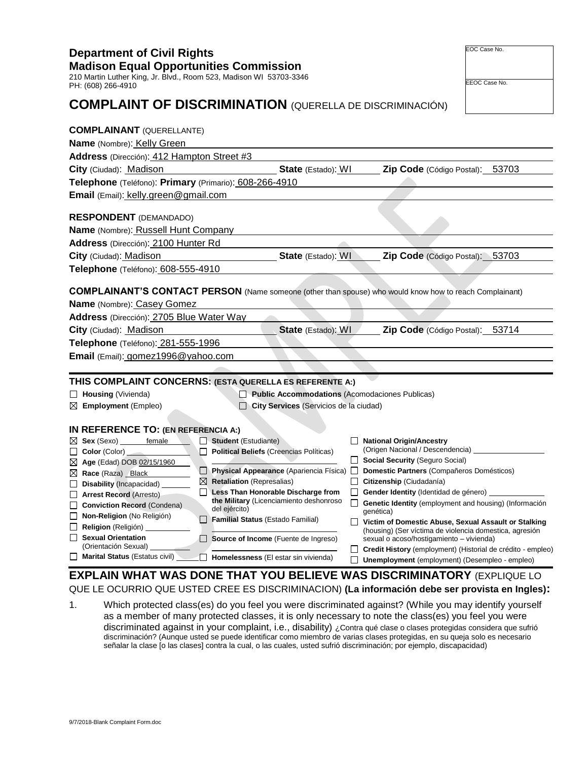**Department of Civil Rights Madison Equal Opportunities Commission** 210 Martin Luther King, Jr. Blvd., Room 523, Madison WI 53703-3346

**Telephone** (Teléfono): **Primary** (Primario): 608-266-4910

## **COMPLAINT OF DISCRIMINATION** (QUERELLA DE DISCRIMINACIÓN)

| <b>Department of Civil Rights</b>             |  |
|-----------------------------------------------|--|
| <b>Madison Equal Opportunities Commission</b> |  |

**Telephone** (Teléfono): 608-555-4910

**Address** (Dirección): 412 Hampton Street #3

**Email** (Email): kelly.green@gmail.com

**Name** (Nombre): Russell Hunt Company **Address** (Dirección): 2100 Hunter Rd

**COMPLAINANT'S CONTACT PERSON** (Name someone (other than spouse) who would know how to reach Complainant)

**City** (Ciudad): Madison **State** (Estado): WI **Zip Code** (Código Postal): 53703

**City** (Ciudad): **Madison <b>State** (Estado): WI **Zip Code** (Código Postal): 53703

**Name** (Nombre): Casey Gomez

**RESPONDENT** (DEMANDADO)

**COMPLAINANT** (QUERELLANTE) **Name** (Nombre): Kelly Green

**Address** (Dirección): 2705 Blue Water Way

**City** (Ciudad): Madison **State** (Estado): WI **Zip Code** (Código Postal): 53714

PH: (608) 266-4910

**Gender Identity** (Identidad de género)

**housing)** (Información

- **Assault or Stalking** lomestica, agresión enda)
- 

## ial de crédito - empleo) empleo - empleo) **EXPLIQUE LO**

vista en Ingles):

dentify yourself el you were nsidera que sufrió lo es necesario